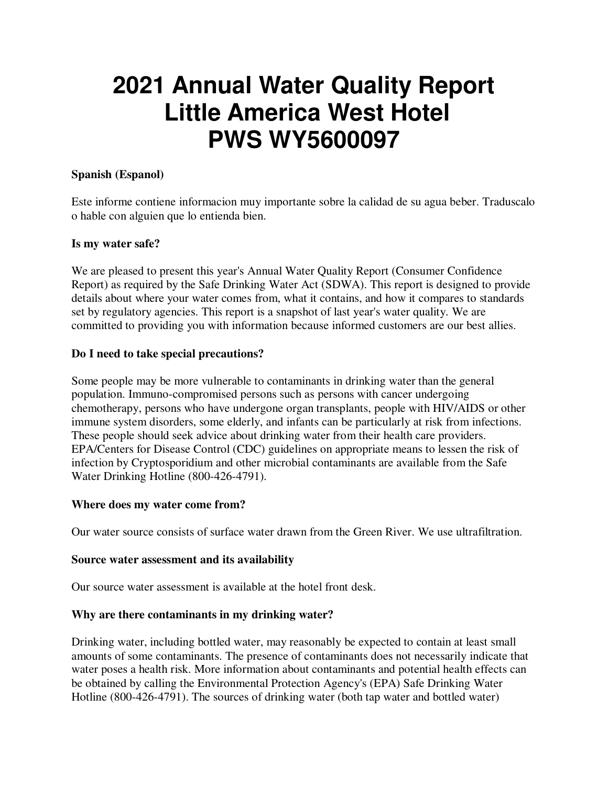# **2021 Annual Water Quality Report Little America West Hotel PWS WY5600097**

#### **Spanish (Espanol)**

Este informe contiene informacion muy importante sobre la calidad de su agua beber. Traduscalo o hable con alguien que lo entienda bien.

#### **Is my water safe?**

We are pleased to present this year's Annual Water Quality Report (Consumer Confidence Report) as required by the Safe Drinking Water Act (SDWA). This report is designed to provide details about where your water comes from, what it contains, and how it compares to standards set by regulatory agencies. This report is a snapshot of last year's water quality. We are committed to providing you with information because informed customers are our best allies.

#### **Do I need to take special precautions?**

Some people may be more vulnerable to contaminants in drinking water than the general population. Immuno-compromised persons such as persons with cancer undergoing chemotherapy, persons who have undergone organ transplants, people with HIV/AIDS or other immune system disorders, some elderly, and infants can be particularly at risk from infections. These people should seek advice about drinking water from their health care providers. EPA/Centers for Disease Control (CDC) guidelines on appropriate means to lessen the risk of infection by Cryptosporidium and other microbial contaminants are available from the Safe Water Drinking Hotline (800-426-4791).

#### **Where does my water come from?**

Our water source consists of surface water drawn from the Green River. We use ultrafiltration.

#### **Source water assessment and its availability**

Our source water assessment is available at the hotel front desk.

# **Why are there contaminants in my drinking water?**

Drinking water, including bottled water, may reasonably be expected to contain at least small amounts of some contaminants. The presence of contaminants does not necessarily indicate that water poses a health risk. More information about contaminants and potential health effects can be obtained by calling the Environmental Protection Agency's (EPA) Safe Drinking Water Hotline (800-426-4791). The sources of drinking water (both tap water and bottled water)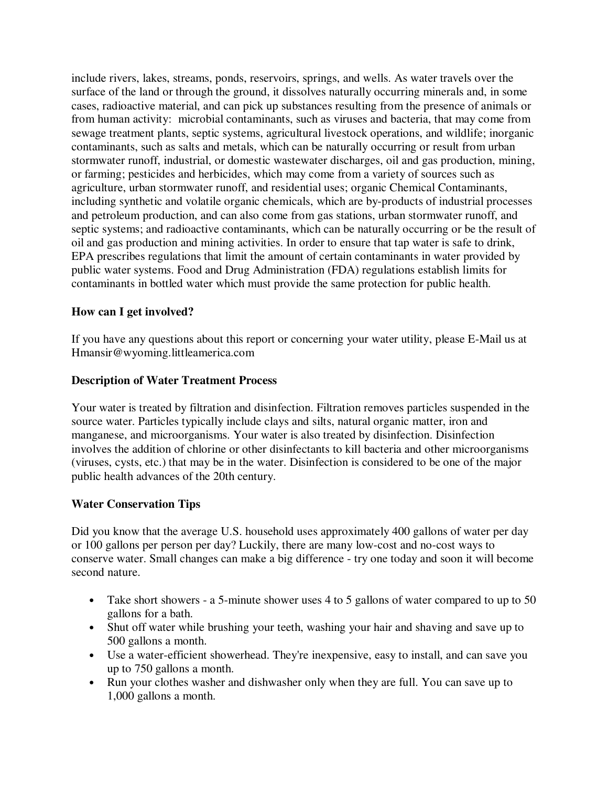include rivers, lakes, streams, ponds, reservoirs, springs, and wells. As water travels over the surface of the land or through the ground, it dissolves naturally occurring minerals and, in some cases, radioactive material, and can pick up substances resulting from the presence of animals or from human activity: microbial contaminants, such as viruses and bacteria, that may come from sewage treatment plants, septic systems, agricultural livestock operations, and wildlife; inorganic contaminants, such as salts and metals, which can be naturally occurring or result from urban stormwater runoff, industrial, or domestic wastewater discharges, oil and gas production, mining, or farming; pesticides and herbicides, which may come from a variety of sources such as agriculture, urban stormwater runoff, and residential uses; organic Chemical Contaminants, including synthetic and volatile organic chemicals, which are by-products of industrial processes and petroleum production, and can also come from gas stations, urban stormwater runoff, and septic systems; and radioactive contaminants, which can be naturally occurring or be the result of oil and gas production and mining activities. In order to ensure that tap water is safe to drink, EPA prescribes regulations that limit the amount of certain contaminants in water provided by public water systems. Food and Drug Administration (FDA) regulations establish limits for contaminants in bottled water which must provide the same protection for public health.

# **How can I get involved?**

If you have any questions about this report or concerning your water utility, please E-Mail us at Hmansir@wyoming.littleamerica.com

# **Description of Water Treatment Process**

Your water is treated by filtration and disinfection. Filtration removes particles suspended in the source water. Particles typically include clays and silts, natural organic matter, iron and manganese, and microorganisms. Your water is also treated by disinfection. Disinfection involves the addition of chlorine or other disinfectants to kill bacteria and other microorganisms (viruses, cysts, etc.) that may be in the water. Disinfection is considered to be one of the major public health advances of the 20th century.

# **Water Conservation Tips**

Did you know that the average U.S. household uses approximately 400 gallons of water per day or 100 gallons per person per day? Luckily, there are many low-cost and no-cost ways to conserve water. Small changes can make a big difference - try one today and soon it will become second nature.

- Take short showers a 5-minute shower uses 4 to 5 gallons of water compared to up to 50 gallons for a bath.
- Shut off water while brushing your teeth, washing your hair and shaving and save up to 500 gallons a month.
- Use a water-efficient showerhead. They're inexpensive, easy to install, and can save you up to 750 gallons a month.
- Run your clothes washer and dishwasher only when they are full. You can save up to 1,000 gallons a month.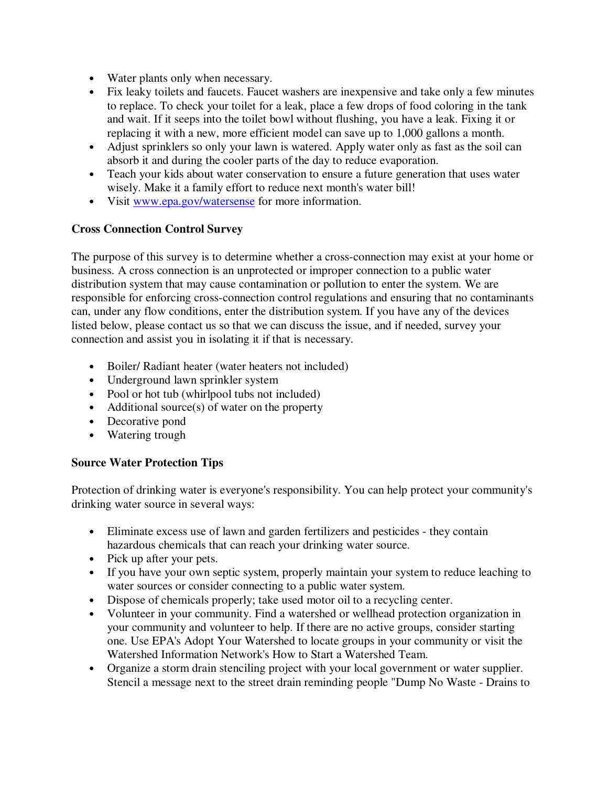- Water plants only when necessary.
- Fix leaky toilets and faucets. Faucet washers are inexpensive and take only a few minutes to replace. To check your toilet for a leak, place a few drops of food coloring in the tank and wait. If it seeps into the toilet bowl without flushing, you have a leak. Fixing it or replacing it with a new, more efficient model can save up to 1,000 gallons a month.
- Adjust sprinklers so only your lawn is watered. Apply water only as fast as the soil can absorb it and during the cooler parts of the day to reduce evaporation.
- Teach your kids about water conservation to ensure a future generation that uses water wisely. Make it a family effort to reduce next month's water bill!
- Visit www.epa.gov/watersense for more information.

# **Cross Connection Control Survey**

The purpose of this survey is to determine whether a cross-connection may exist at your home or business. A cross connection is an unprotected or improper connection to a public water distribution system that may cause contamination or pollution to enter the system. We are responsible for enforcing cross-connection control regulations and ensuring that no contaminants can, under any flow conditions, enter the distribution system. If you have any of the devices listed below, please contact us so that we can discuss the issue, and if needed, survey your connection and assist you in isolating it if that is necessary.

- Boiler/ Radiant heater (water heaters not included)
- Underground lawn sprinkler system
- Pool or hot tub (whirlpool tubs not included)
- Additional source(s) of water on the property
- Decorative pond
- Watering trough

# **Source Water Protection Tips**

Protection of drinking water is everyone's responsibility. You can help protect your community's drinking water source in several ways:

- Eliminate excess use of lawn and garden fertilizers and pesticides they contain hazardous chemicals that can reach your drinking water source.
- Pick up after your pets.
- If you have your own septic system, properly maintain your system to reduce leaching to water sources or consider connecting to a public water system.
- Dispose of chemicals properly; take used motor oil to a recycling center.
- Volunteer in your community. Find a watershed or wellhead protection organization in your community and volunteer to help. If there are no active groups, consider starting one. Use EPA's Adopt Your Watershed to locate groups in your community or visit the Watershed Information Network's How to Start a Watershed Team.
- Organize a storm drain stenciling project with your local government or water supplier. Stencil a message next to the street drain reminding people "Dump No Waste - Drains to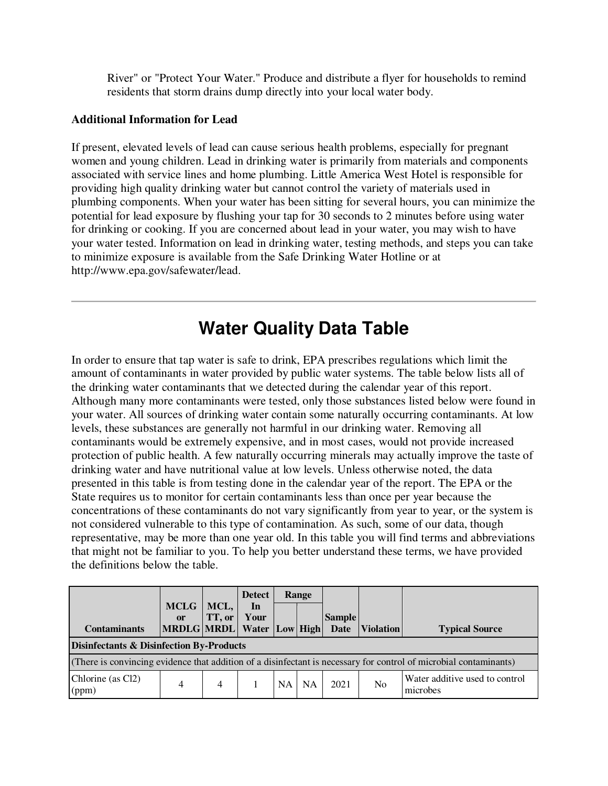River" or "Protect Your Water." Produce and distribute a flyer for households to remind residents that storm drains dump directly into your local water body.

#### **Additional Information for Lead**

If present, elevated levels of lead can cause serious health problems, especially for pregnant women and young children. Lead in drinking water is primarily from materials and components associated with service lines and home plumbing. Little America West Hotel is responsible for providing high quality drinking water but cannot control the variety of materials used in plumbing components. When your water has been sitting for several hours, you can minimize the potential for lead exposure by flushing your tap for 30 seconds to 2 minutes before using water for drinking or cooking. If you are concerned about lead in your water, you may wish to have your water tested. Information on lead in drinking water, testing methods, and steps you can take to minimize exposure is available from the Safe Drinking Water Hotline or at http://www.epa.gov/safewater/lead.

# **Water Quality Data Table**

In order to ensure that tap water is safe to drink, EPA prescribes regulations which limit the amount of contaminants in water provided by public water systems. The table below lists all of the drinking water contaminants that we detected during the calendar year of this report. Although many more contaminants were tested, only those substances listed below were found in your water. All sources of drinking water contain some naturally occurring contaminants. At low levels, these substances are generally not harmful in our drinking water. Removing all contaminants would be extremely expensive, and in most cases, would not provide increased protection of public health. A few naturally occurring minerals may actually improve the taste of drinking water and have nutritional value at low levels. Unless otherwise noted, the data presented in this table is from testing done in the calendar year of the report. The EPA or the State requires us to monitor for certain contaminants less than once per year because the concentrations of these contaminants do not vary significantly from year to year, or the system is not considered vulnerable to this type of contamination. As such, some of our data, though representative, may be more than one year old. In this table you will find terms and abbreviations that might not be familiar to you. To help you better understand these terms, we have provided the definitions below the table.

|                                                                                                                   |                                |                | <b>Detect</b> |    | Range     |               |                  |                                            |
|-------------------------------------------------------------------------------------------------------------------|--------------------------------|----------------|---------------|----|-----------|---------------|------------------|--------------------------------------------|
|                                                                                                                   | <b>MCLG</b><br><sub>or</sub>   | MCL,<br>TT, or | In<br>Your    |    |           | <b>Sample</b> |                  |                                            |
| <b>Contaminants</b>                                                                                               | MRDLG MRDL Water Low High Date |                |               |    |           |               | <b>Violation</b> | <b>Typical Source</b>                      |
| <b>Disinfectants &amp; Disinfection By-Products</b>                                                               |                                |                |               |    |           |               |                  |                                            |
| (There is convincing evidence that addition of a disinfectant is necessary for control of microbial contaminants) |                                |                |               |    |           |               |                  |                                            |
| Chlorine (as Cl2)<br>(ppm)                                                                                        | 4                              | 4              |               | NA | <b>NA</b> | 2021          | N <sub>o</sub>   | Water additive used to control<br>microbes |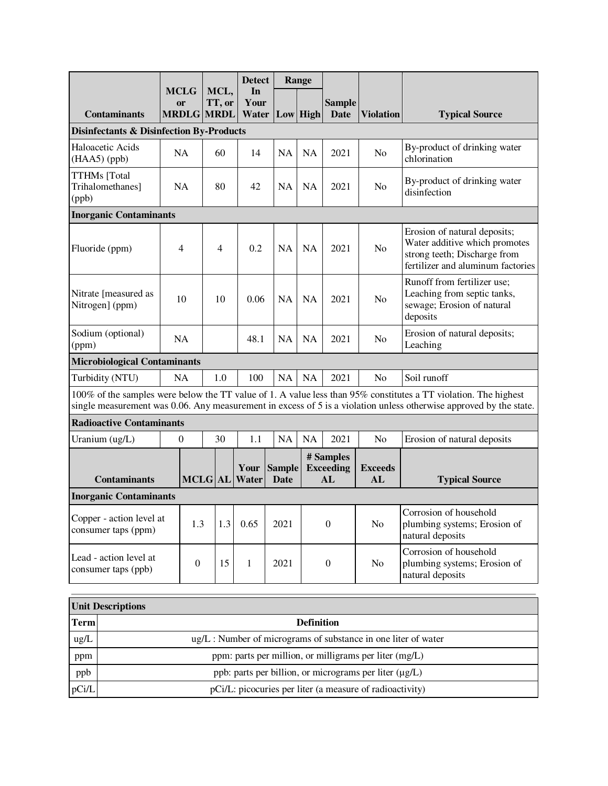|                                                                                                                                                                                                                                       |                                     |                | <b>Detect</b><br>In   |                       | Range     |                                     |                      |                                                                                                                                    |
|---------------------------------------------------------------------------------------------------------------------------------------------------------------------------------------------------------------------------------------|-------------------------------------|----------------|-----------------------|-----------------------|-----------|-------------------------------------|----------------------|------------------------------------------------------------------------------------------------------------------------------------|
|                                                                                                                                                                                                                                       | <b>MCLG</b><br>or                   | MCL,<br>TT, or | Your                  |                       |           | <b>Sample</b>                       |                      |                                                                                                                                    |
| <b>Contaminants</b>                                                                                                                                                                                                                   | <b>MRDLG MRDL</b>                   |                | Water                 | Low High              |           | <b>Date</b>                         | <b>Violation</b>     | <b>Typical Source</b>                                                                                                              |
| <b>Disinfectants &amp; Disinfection By-Products</b>                                                                                                                                                                                   |                                     |                |                       |                       |           |                                     |                      |                                                                                                                                    |
| Haloacetic Acids<br>$(HAA5)$ (ppb)                                                                                                                                                                                                    | NA                                  | 60             | 14                    | <b>NA</b>             | <b>NA</b> | 2021                                | N <sub>o</sub>       | By-product of drinking water<br>chlorination                                                                                       |
| TTHMs [Total<br>Trihalomethanes]<br>(ppb)                                                                                                                                                                                             | <b>NA</b>                           | 80             | 42                    | <b>NA</b>             | <b>NA</b> | 2021                                | N <sub>o</sub>       | By-product of drinking water<br>disinfection                                                                                       |
| <b>Inorganic Contaminants</b>                                                                                                                                                                                                         |                                     |                |                       |                       |           |                                     |                      |                                                                                                                                    |
| Fluoride (ppm)                                                                                                                                                                                                                        | 4                                   | $\overline{4}$ | 0.2                   | <b>NA</b>             | <b>NA</b> | 2021                                | N <sub>o</sub>       | Erosion of natural deposits;<br>Water additive which promotes<br>strong teeth; Discharge from<br>fertilizer and aluminum factories |
| Nitrate [measured as<br>Nitrogen] (ppm)                                                                                                                                                                                               | 10                                  | 10             | 0.06                  | <b>NA</b>             | <b>NA</b> | 2021                                | No                   | Runoff from fertilizer use;<br>Leaching from septic tanks,<br>sewage; Erosion of natural<br>deposits                               |
| Sodium (optional)<br>(ppm)                                                                                                                                                                                                            | NA                                  |                | 48.1                  | NA                    | <b>NA</b> | 2021                                | N <sub>o</sub>       | Erosion of natural deposits;<br>Leaching                                                                                           |
|                                                                                                                                                                                                                                       | <b>Microbiological Contaminants</b> |                |                       |                       |           |                                     |                      |                                                                                                                                    |
| Turbidity (NTU)                                                                                                                                                                                                                       | NA                                  | 1.0            | 100                   | NA                    | <b>NA</b> | 2021                                | N <sub>o</sub>       | Soil runoff                                                                                                                        |
| 100% of the samples were below the TT value of 1. A value less than 95% constitutes a TT violation. The highest<br>single measurement was 0.06. Any measurement in excess of 5 is a violation unless otherwise approved by the state. |                                     |                |                       |                       |           |                                     |                      |                                                                                                                                    |
| <b>Radioactive Contaminants</b>                                                                                                                                                                                                       |                                     |                |                       |                       |           |                                     |                      |                                                                                                                                    |
| Uranium (ug/L)                                                                                                                                                                                                                        | 0                                   | 30             | 1.1                   | NA                    | NA        | 2021                                | N <sub>o</sub>       | Erosion of natural deposits                                                                                                        |
| <b>Contaminants</b>                                                                                                                                                                                                                   |                                     |                | Your<br>MCLG AL Water | <b>Sample</b><br>Date |           | # Samples<br><b>Exceeding</b><br>AL | <b>Exceeds</b><br>AL | <b>Typical Source</b>                                                                                                              |
| <b>Inorganic Contaminants</b>                                                                                                                                                                                                         |                                     |                |                       |                       |           |                                     |                      |                                                                                                                                    |
| Copper - action level at<br>consumer taps (ppm)                                                                                                                                                                                       | 1.3                                 | 1.3            | 0.65                  | 2021                  |           | $\boldsymbol{0}$                    | No                   | Corrosion of household<br>plumbing systems; Erosion of<br>natural deposits                                                         |
| Lead - action level at<br>consumer taps (ppb)                                                                                                                                                                                         | $\boldsymbol{0}$                    | 15             | $\mathbf{1}$          | 2021                  |           | $\boldsymbol{0}$                    | No                   | Corrosion of household<br>plumbing systems; Erosion of<br>natural deposits                                                         |
|                                                                                                                                                                                                                                       |                                     |                |                       |                       |           |                                     |                      |                                                                                                                                    |

|             | <b>Unit Descriptions</b>                                            |
|-------------|---------------------------------------------------------------------|
| <b>Term</b> | <b>Definition</b>                                                   |
| ug/L        | $\mu$ g/L : Number of micrograms of substance in one liter of water |
| ppm         | ppm: parts per million, or milligrams per liter (mg/L)              |
| ppb         | ppb: parts per billion, or micrograms per liter $(\mu g/L)$         |
| pCi/L       | pCi/L: picocuries per liter (a measure of radioactivity)            |